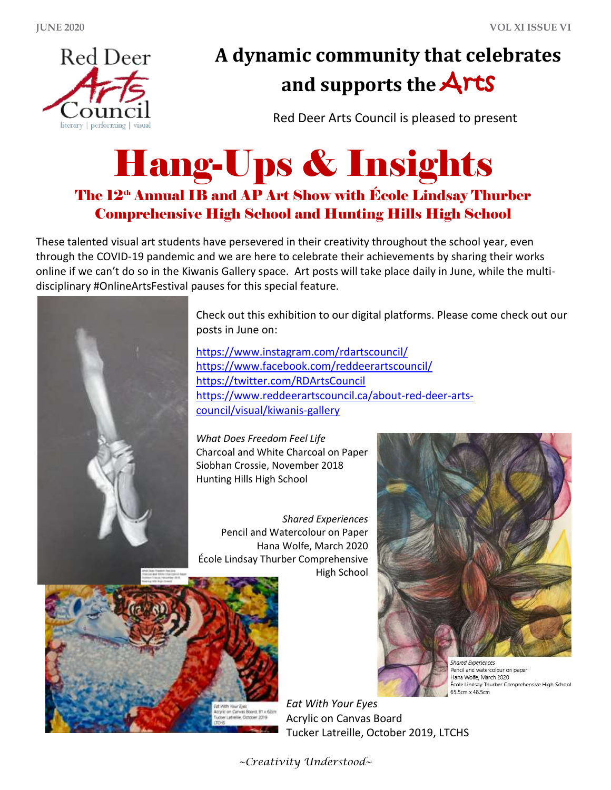

## **A dynamic community that celebrates and supports the** Arts

Red Deer Arts Council is pleased to present

## Hang-Ups & Insights

## The 12<sup>th</sup> Annual IB and AP Art Show with École Lindsay Thurber Comprehensive High School and Hunting Hills High School

These talented visual art students have persevered in their creativity throughout the school year, even through the COVID-19 pandemic and we are here to celebrate their achievements by sharing their works online if we can't do so in the Kiwanis Gallery space. Art posts will take place daily in June, while the multidisciplinary #OnlineArtsFestival pauses for this special feature.



Check out this exhibition to our digital platforms. Please come check out our posts in June on:

<https://www.instagram.com/rdartscouncil/> <https://www.facebook.com/reddeerartscouncil/> <https://twitter.com/RDArtsCouncil> [https://www.reddeerartscouncil.ca/about-red-deer-arts](https://www.reddeerartscouncil.ca/about-red-deer-arts-council/visual/kiwanis-gallery)[council/visual/kiwanis-gallery](https://www.reddeerartscouncil.ca/about-red-deer-arts-council/visual/kiwanis-gallery)

*What Does Freedom Feel Life* Charcoal and White Charcoal on Paper Siobhan Crossie, November 2018 Hunting Hills High School

*Shared Experiences* Pencil and Watercolour on Paper Hana Wolfe, March 2020 École Lindsay Thurber Comprehensive High School





Pencil and watercolour on paper Hana Wolfe, March 2020 École Lindsay Thurber Comprehensive High School 65.5cm x 48.5cm

*Eat With Your Eyes* Acrylic on Canvas Board Tucker Latreille, October 2019, LTCHS

*~Creativity Understood~*